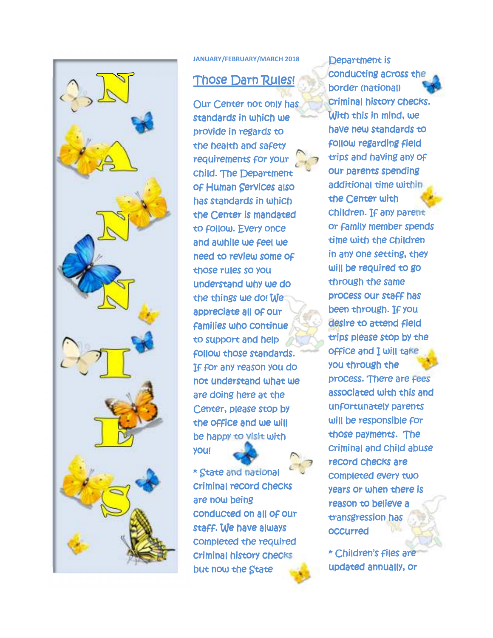

**JANUARY/FEBRUARY/MARCH 2018** 

## **Those Darn Rules!**

Our Center not only has standards in which we provide in regards to the health and safety requirements for your child. The Department of Human Services also has standards in which the Center is mandated to follow. Every once and awhile we feel we need to review some of those rules so you understand why we do the things we do! We appreciate all of our **families who continue** to support and help follow those standards. If for any reason you do not understand what we are doing here at the Center, please stop by the office and we will be happy to visit with you!

\* State and national criminal record checks are now being conducted on all of our staff. We have always completed the required criminal history checks but now the State

Department is conducting across the border (national) criminal history checks. With this in mind, we have new standards to follow regarding field trips and having any of our parents spending additional time within the Center with children. If any parent or family member spends time with the children in any one setting, they will be required to go through the same process our staff has been through. If you desire to attend field trips please stop by the office and I will take you through the process. There are fees associated with this and unfortunately parents will be responsible for those payments. The criminal and child abuse record checks are completed every two years or when there is reason to believe a transgression has occurred

\* Children's files are updated annually, or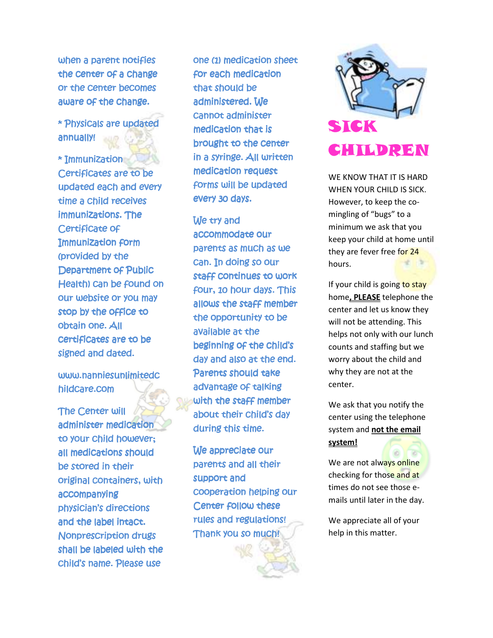when a parent notifies the center of a change or the center becomes aware of the change.

\* Physicals are updated annually! annually!

\* Immunization Certificates are to be updated each and every time a child receives immunizations. The Certificate of Immunization form (provided by the Department of Public Health) can be found on our website or you may stop by the office to obtain one. All certificates are to be signed and dated.

www.nanniesunlimitedc hildcare.com

The Center will administer medication to your child however; all medications should be stored in their original containers, with accompanying physician's directions and the label intact. Nonprescription drugs shall be labeled with the child's name. Please use

one (1) medication sheet for each medication that should be administered. We cannot administer medication that is brought to the center in a syringe. All written medication request forms will be updated every 30 days.

We try and accommodate our parents as much as we can. In doing so our staff continues to work four, 10 hour days. This allows the staff member the opportunity to be available at the beginning of the child's day and also at the end. Parents should take advantage of talking with the staff member about their child's day during this time.

We appreciate our parents and all their support and cooperation helping our Center follow these rules and regulations! Thank you so much!



WE KNOW THAT IT IS HARD WHEN YOUR CHILD IS SICK. However, to keep the comingling of "bugs" to a minimum we ask that you keep your child at home until they are fever free for 24 hours.

If your child is going to stay home**, PLEASE** telephone the center and let us know they will not be attending. This helps not only with our lunch counts and staffing but we worry about the child and why they are not at the center.

We ask that you notify the center using the telephone system and **not the email system!** 

We are not always online checking for those and at times do not see those emails until later in the day.

We appreciate all of your help in this matter.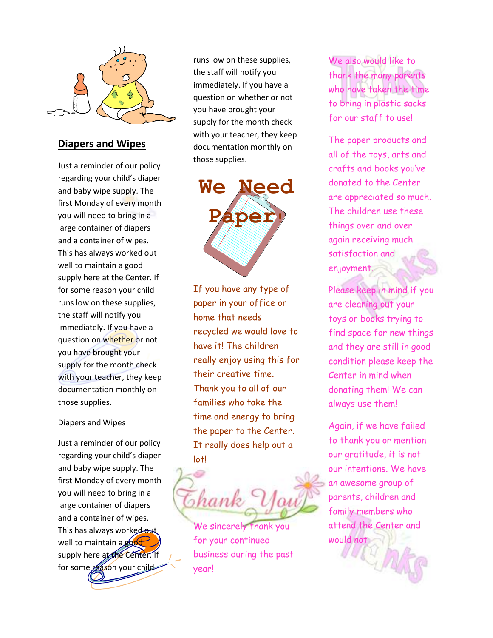

### **Diapers and Wipes**

Just a reminder of our policy regarding your child's diaper and baby wipe supply. The first Monday of every month you will need to bring in a large container of diapers and a container of wipes. This has always worked out well to maintain a good supply here at the Center. If for some reason your child runs low on these supplies, the staff will notify you immediately. If you have a question on whether or not you have brought your supply for the month check with your teacher, they keep documentation monthly on those supplies.

#### Diapers and Wipes

Just a reminder of our policy regarding your child's diaper and baby wipe supply. The first Monday of every month you will need to bring in a large container of diapers and a container of wipes. This has always worked out well to maintain a good supply here at the Center. If for some reason your child

runs low on these supplies, the staff will notify you immediately. If you have a question on whether or not you have brought your supply for the month check with your teacher, they keep documentation monthly on those supplies.

**We Need Paper!** 

If you have any type of paper in your office or home that needs recycled we would love to have it! The children really enjoy using this for their creative time. Thank you to all of our families who take the time and energy to bring the paper to the Center. It really does help out a lot!

shank

We sincerely thank you for your continued business during the past year!

We also would like to thank the many parents who have taken the time to bring in plastic sacks for our staff to use!

The paper products and all of the toys, arts and crafts and books you've donated to the Center are appreciated so much. The children use these things over and over again receiving much satisfaction and enjoyment.

Please keep in mind if you are cleaning out your toys or books trying to find space for new things and they are still in good condition please keep the Center in mind when donating them! We can always use them!

Again, if we have failed to thank you or mention our gratitude, it is not our intentions. We have an awesome group of parents, children and family members who attend the Center and would not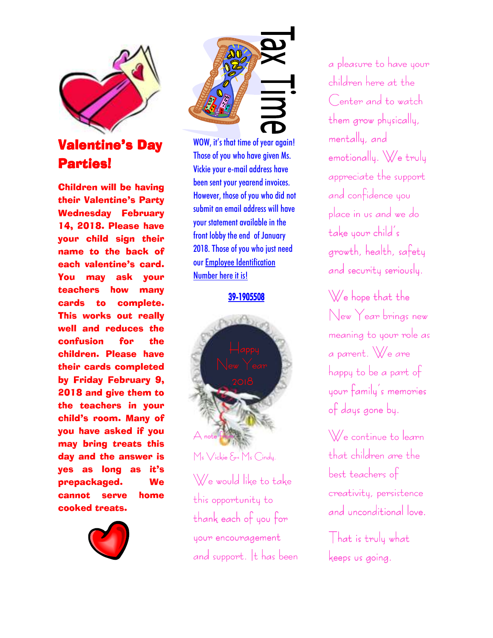

# **Valentine's Day** Parties!

Children will be having their Valentine's Party Wednesday February 14, 2018. Please have your child sign their name to the back of each valentine's card. You may ask your teachers how many cards to complete. This works out really well and reduces the confusion for the children. Please have their cards completed by Friday February 9, 2018 and give them to the teachers in your child's room. Many of you have asked if you may bring treats this day and the answer is yes as long as it's prepackaged. We cannot serve home cooked treats.





WOW, it's that time of year again! Those of you who have given Ms. Vickie your e-mail address have been sent your yearend invoices. However, those of you who did not submit an email address will have your statement available in the front lobby the end of January 2018. Those of you who just need our Employee Identification Number here it is!

39-1905508



We would like to take this opportunity to thank each of you for your encouragement and support. It has been a pleasure to have your children here at the Center and to watch them grow physically, mentally, and  $emotionally.$  We truly appreciate the support and confidence you place in us and we do take your child's growth, health, safety and security seriously.

We hope that the New Year brings new meaning to your role as a parent. We are happy to be a part of your family's memories of days gone by.

We continue to learn  $that$  children are the best teachers of creativity, persistence and unconditional love.

That is truly what  $k$ eeps us going.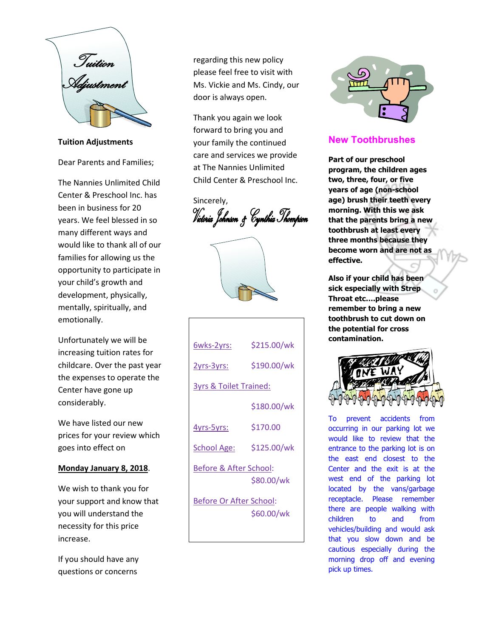

**Tuition Adjustments** 

Dear Parents and Families;

The Nannies Unlimited Child Center & Preschool Inc. has been in business for 20 years. We feel blessed in so many different ways and would like to thank all of our families for allowing us the opportunity to participate in your child's growth and development, physically, mentally, spiritually, and emotionally.

Unfortunately we will be increasing tuition rates for childcare. Over the past year the expenses to operate the Center have gone up considerably.

We have listed our new prices for your review which goes into effect on

#### **Monday January 8, 2018**.

We wish to thank you for your support and know that you will understand the necessity for this price increase.

If you should have any questions or concerns

regarding this new policy please feel free to visit with Ms. Vickie and Ms. Cindy, our door is always open.

Thank you again we look forward to bring you and your family the continued care and services we provide at The Nannies Unlimited Child Center & Preschool Inc.

Sincerely, Victoria Johnson & Cynthia Thompson



| 6wks-2yrs:                        | \$215.00/wk |
|-----------------------------------|-------------|
| 2yrs-3yrs:                        | \$190.00/wk |
| <b>3yrs &amp; Toilet Trained:</b> |             |
|                                   | \$180.00/wk |
| 4yrs-5yrs:                        | \$170.00    |
| <b>School Age:</b>                | \$125.00/wk |
| Before & After School:            | \$80.00/wk  |
| <b>Before Or After School:</b>    | \$60.00/wk  |



### **New Toothbrushes**

**Part of our preschool program, the children ages two, three, four, or five years of age (non-school age) brush their teeth every morning. With this we ask that the parents bring a new toothbrush at least every three months because they become worn and are not as effective.** 

**Also if your child has been sick especially with Strep Throat etc….please remember to bring a new toothbrush to cut down on the potential for cross contamination.** 



To prevent accidents from occurring in our parking lot we would like to review that the entrance to the parking lot is on the east end closest to the Center and the exit is at the west end of the parking lot located by the vans/garbage receptacle. Please remember there are people walking with children to and from vehicles/building and would ask that you slow down and be cautious especially during the morning drop off and evening pick up times.